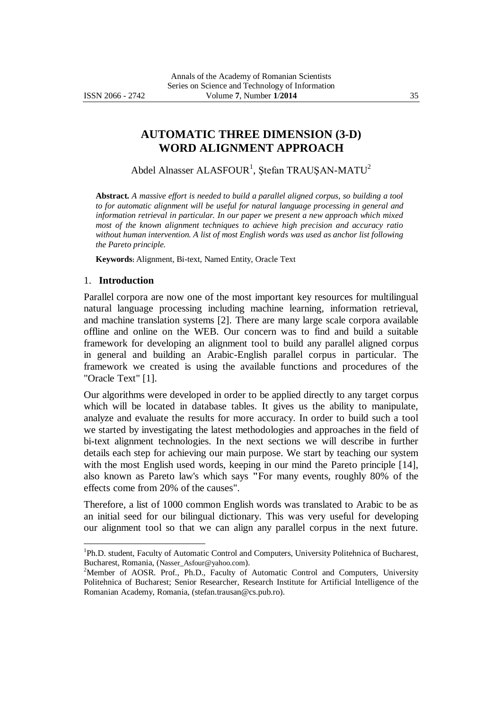# **AUTOMATIC THREE DIMENSION (3-D) WORD ALIGNMENT APPROACH**

Abdel Alnasser ALASFOUR<sup>1</sup>, Ştefan TRAUŞAN-MATU<sup>2</sup>

**Abstract.** *A massive effort is needed to build a parallel aligned corpus, so building a tool to for automatic alignment will be useful for natural language processing in general and information retrieval in particular. In our paper we present a new approach which mixed most of the known alignment techniques to achieve high precision and accuracy ratio without human intervention. A list of most English words was used as anchor list following the Pareto principle.*

**Keywords:** Alignment, Bi-text, Named Entity, Oracle Text

### 1. **Introduction**

<u>.</u>

Parallel corpora are now one of the most important key resources for multilingual natural language processing including machine learning, information retrieval, and machine translation systems [2]. There are many large scale corpora available offline and online on the WEB. Our concern was to find and build a suitable framework for developing an alignment tool to build any parallel aligned corpus in general and building an Arabic-English parallel corpus in particular. The framework we created is using the available functions and procedures of the "Oracle Text" [1].

Our algorithms were developed in order to be applied directly to any target corpus which will be located in database tables. It gives us the ability to manipulate, analyze and evaluate the results for more accuracy. In order to build such a tool we started by investigating the latest methodologies and approaches in the field of bi-text alignment technologies. In the next sections we will describe in further details each step for achieving our main purpose. We start by teaching our system with the most English used words, keeping in our mind the Pareto principle [14], also known as Pareto law's which says **"**For many events, roughly 80% of the effects come from 20% of the causes".

Therefore, a list of 1000 common English words was translated to Arabic to be as an initial seed for our bilingual dictionary. This was very useful for developing our alignment tool so that we can align any parallel corpus in the next future.

<sup>&</sup>lt;sup>1</sup>Ph.D. student, Faculty of Automatic Control and Computers, University Politehnica of Bucharest, Bucharest, Romania, (Nasser\_Asfour@yahoo.com).

<sup>&</sup>lt;sup>2</sup>Member of AOSR. Prof., Ph.D., Faculty of Automatic Control and Computers, University Politehnica of Bucharest; Senior Researcher, Research Institute for Artificial Intelligence of the Romanian Academy, Romania, (stefan.trausan@cs.pub.ro).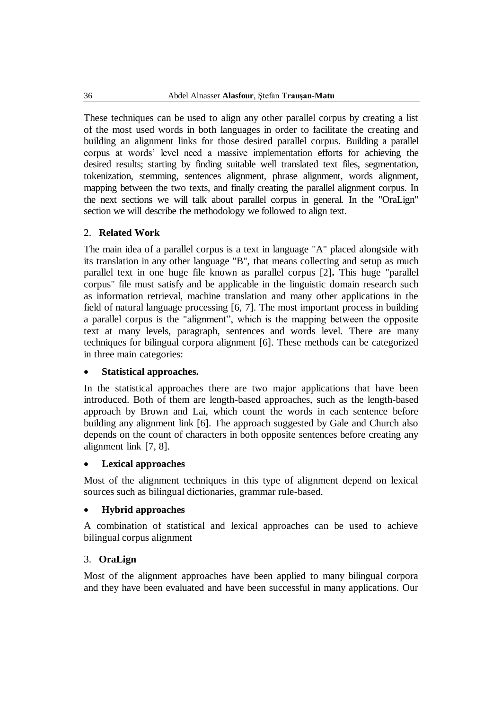These techniques can be used to align any other parallel corpus by creating a list of the most used words in both languages in order to facilitate the creating and building an alignment links for those desired parallel corpus. Building a parallel corpus at words' level need a massive implementation efforts for achieving the desired results; starting by finding suitable well translated text files, segmentation, tokenization, stemming, sentences alignment, phrase alignment, words alignment, mapping between the two texts, and finally creating the parallel alignment corpus. In the next sections we will talk about parallel corpus in general. In the "OraLign" section we will describe the methodology we followed to align text.

# 2. **Related Work**

The main idea of a parallel corpus is a text in language "A" placed alongside with its translation in any other language "B", that means collecting and setup as much parallel text in one huge file known as parallel corpus [2]**.** This huge "parallel corpus" file must satisfy and be applicable in the linguistic domain research such as information retrieval, machine translation and many other applications in the field of natural language processing [6, 7]. The most important process in building a parallel corpus is the "alignment", which is the mapping between the opposite text at many levels, paragraph, sentences and words level. There are many techniques for bilingual corpora alignment [6]. These methods can be categorized in three main categories:

## **Statistical approaches.**

In the statistical approaches there are two major applications that have been introduced. Both of them are length-based approaches, such as the length-based approach by Brown and Lai, which count the words in each sentence before building any alignment link [6]. The approach suggested by Gale and Church also depends on the count of characters in both opposite sentences before creating any alignment link [7, 8].

## **Lexical approaches**

Most of the alignment techniques in this type of alignment depend on lexical sources such as bilingual dictionaries, grammar rule-based.

## **Hybrid approaches**

A combination of statistical and lexical approaches can be used to achieve bilingual corpus alignment

## 3. **OraLign**

Most of the alignment approaches have been applied to many bilingual corpora and they have been evaluated and have been successful in many applications. Our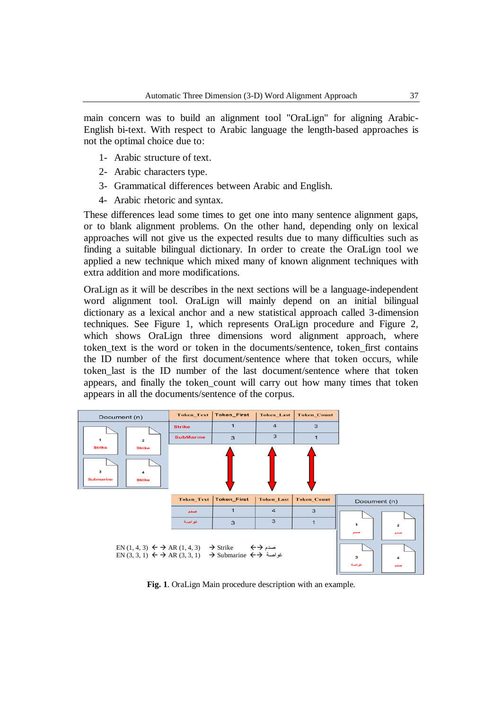main concern was to build an alignment tool "OraLign" for aligning Arabic-English bi-text. With respect to Arabic language the length-based approaches is not the optimal choice due to:

- 1- Arabic structure of text.
- 2- Arabic characters type.
- 3- Grammatical differences between Arabic and English.
- 4- Arabic rhetoric and syntax.

These differences lead some times to get one into many sentence alignment gaps, or to blank alignment problems. On the other hand, depending only on lexical approaches will not give us the expected results due to many difficulties such as finding a suitable bilingual dictionary. In order to create the OraLign tool we applied a new technique which mixed many of known alignment techniques with extra addition and more modifications.

OraLign as it will be describes in the next sections will be a language-independent word alignment tool. OraLign will mainly depend on an initial bilingual dictionary as a lexical anchor and a new statistical approach called 3-dimension techniques. See Figure 1, which represents OraLign procedure and Figure 2, which shows OraLign three dimensions word alignment approach, where token\_text is the word or token in the documents/sentence, token\_first contains the ID number of the first document/sentence where that token occurs, while token last is the ID number of the last document/sentence where that token appears, and finally the token\_count will carry out how many times that token appears in all the documents/sentence of the corpus.



**Fig. 1**. OraLign Main procedure description with an example.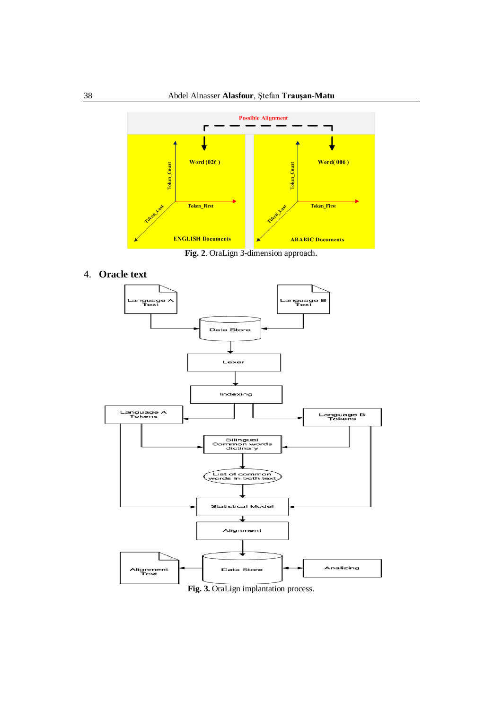

**Fig. 2**. OraLign 3-dimension approach.

4. **Oracle text**



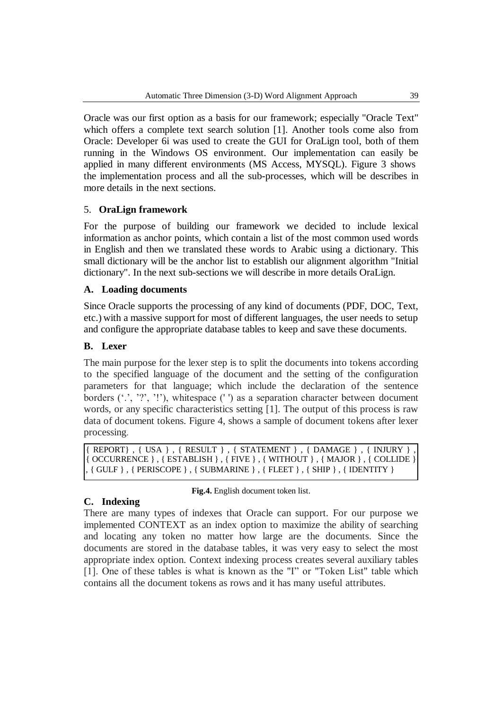Oracle was our first option as a basis for our framework; especially "Oracle Text" which offers a complete text search solution [1]. Another tools come also from Oracle: Developer 6i was used to create the GUI for OraLign tool, both of them running in the Windows OS environment. Our implementation can easily be applied in many different environments (MS Access, MYSQL). Figure 3 shows the implementation process and all the sub-processes, which will be describes in more details in the next sections.

## 5. **OraLign framework**

For the purpose of building our framework we decided to include lexical information as anchor points, which contain a list of the most common used words in English and then we translated these words to Arabic using a dictionary. This small dictionary will be the anchor list to establish our alignment algorithm "Initial dictionary". In the next sub-sections we will describe in more details OraLign.

## **A. Loading documents**

Since Oracle supports the processing of any kind of documents (PDF, DOC, Text, etc.) with a massive support for most of different languages, the user needs to setup and configure the appropriate database tables to keep and save these documents.

## **B. Lexer**

The main purpose for the lexer step is to split the documents into tokens according to the specified language of the document and the setting of the configuration parameters for that language; which include the declaration of the sentence borders  $(', '?, '')'$ , whitespace (') as a separation character between document words, or any specific characteristics setting [1]. The output of this process is raw data of document tokens. Figure 4, shows a sample of document tokens after lexer processing.

```
\{ REPORT\} , \{ USA \} , \{ RESULT \} , \{ STATEMENT \} , \{ DAMAGE \} , \{ INJURY \}{ OCCURRENCE } , { ESTABLISH } , { FIVE } , { WITHOUT } , { MAJOR } , { COLLIDE } 
, { GULF }, { PERISCOPE }, { SUBMARINE }, { FLEET }, { SHIP }, { IDENTITY }
```
## **C. Indexing**

**Fig.4.** English document token list.

There are many types of indexes that Oracle can support. For our purpose we implemented CONTEXT as an index option to maximize the ability of searching and locating any token no matter how large are the documents. Since the documents are stored in the database tables, it was very easy to select the most appropriate index option. Context indexing process creates several auxiliary tables [1]. One of these tables is what is known as the "I" or "Token List" table which contains all the document tokens as rows and it has many useful attributes.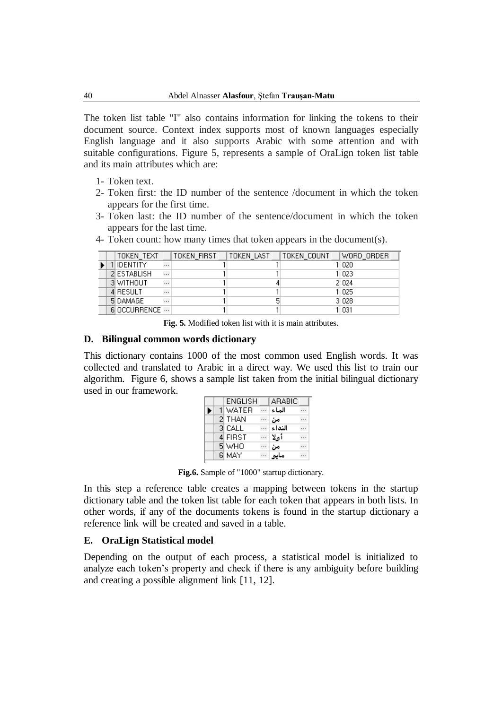The token list table "I" also contains information for linking the tokens to their document source. Context index supports most of known languages especially English language and it also supports Arabic with some attention and with suitable configurations. Figure 5, represents a sample of OraLign token list table and its main attributes which are:

- 1- Token text.
- 2- Token first: the ID number of the sentence /document in which the token appears for the first time.
- 3- Token last: the ID number of the sentence/document in which the token appears for the last time.

|  | 4- Token count: how many times that token appears in the document(s). |  |                                                  |  |
|--|-----------------------------------------------------------------------|--|--------------------------------------------------|--|
|  | TOKEN TEXT                                                            |  | TOKEN_FIRST  TOKEN_LAST  TOKEN_COUNT  WORD_ORDER |  |
|  |                                                                       |  |                                                  |  |

|  | TOKEN TEXT   |          | TOKEN FIRST | ITOKEN LAST. | I TOKEN COUNT | IWORD ORDER. |
|--|--------------|----------|-------------|--------------|---------------|--------------|
|  | II IDENTITY. | $\cdots$ |             |              |               | 11 020       |
|  | 2 ESTABLISH  | $\cdots$ |             |              |               | 1 023        |
|  | 3 WITHOUT    |          |             |              |               | 2 0 24       |
|  | 4 RESULT     |          |             |              |               | 1 025        |
|  | 5 DAMAGE     |          |             |              |               | 3 0 28       |
|  | 6 OCCURRENCE |          |             |              |               | 1  031       |

**Fig. 5.** Modified token list with it is main attributes.

### **D. Bilingual common words dictionary**

This dictionary contains 1000 of the most common used English words. It was collected and translated to Arabic in a direct way. We used this list to train our algorithm. Figure 6, shows a sample list taken from the initial bilingual dictionary used in our framework.

|   | ENGLISH      | ARABIC |  |
|---|--------------|--------|--|
| Þ | <b>WATER</b> | الماء  |  |
|   | 2 THAN       | ەن     |  |
|   | 3 CALL       | النداء |  |
|   | 4 FIRST      | أهلا   |  |
|   | 5 WHO        | ەن     |  |
|   | 6 MAY        |        |  |

**Fig.6.** Sample of "1000" startup dictionary.

In this step a reference table creates a mapping between tokens in the startup dictionary table and the token list table for each token that appears in both lists. In other words, if any of the documents tokens is found in the startup dictionary a reference link will be created and saved in a table.

## **E. OraLign Statistical model**

Depending on the output of each process, a statistical model is initialized to analyze each token's property and check if there is any ambiguity before building and creating a possible alignment link [11, 12].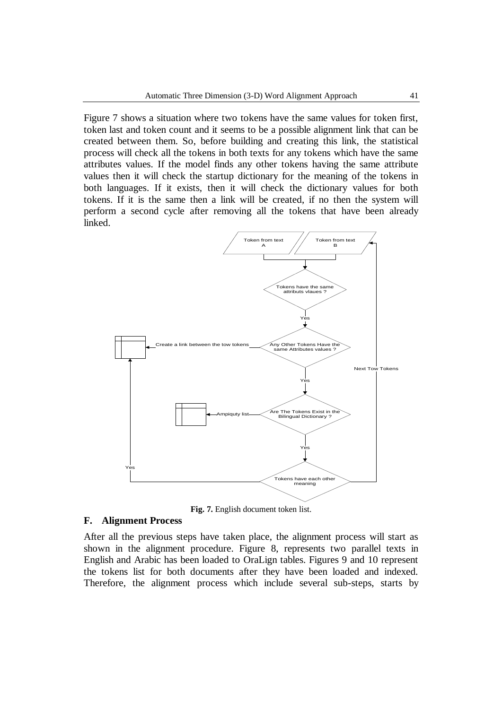Figure 7 shows a situation where two tokens have the same values for token first, token last and token count and it seems to be a possible alignment link that can be created between them. So, before building and creating this link, the statistical process will check all the tokens in both texts for any tokens which have the same attributes values. If the model finds any other tokens having the same attribute values then it will check the startup dictionary for the meaning of the tokens in both languages. If it exists, then it will check the dictionary values for both tokens. If it is the same then a link will be created, if no then the system will perform a second cycle after removing all the tokens that have been already linked.



**Fig. 7.** English document token list.

## **F. Alignment Process**

After all the previous steps have taken place, the alignment process will start as shown in the alignment procedure. Figure 8, represents two parallel texts in English and Arabic has been loaded to OraLign tables. Figures 9 and 10 represent the tokens list for both documents after they have been loaded and indexed. Therefore, the alignment process which include several sub-steps, starts by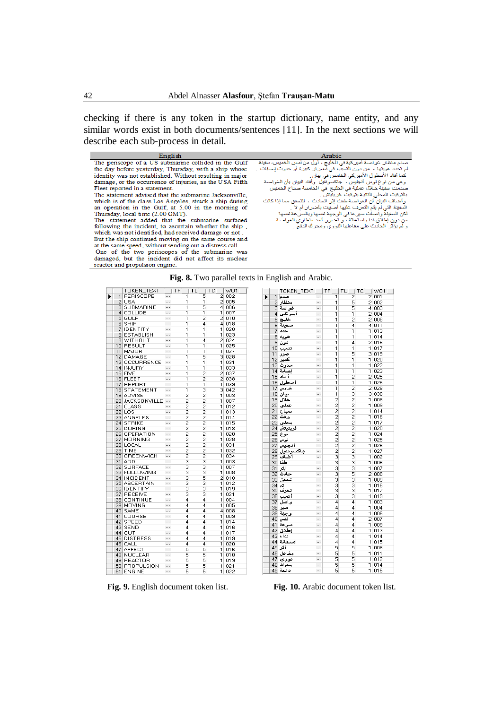checking if there is any token in the startup dictionary, name entity, and any similar words exist in both documents/sentences [11]. In the next sections we will describe each sub-process in detail.

| English                                                  | Arabic                                                                     |
|----------------------------------------------------------|----------------------------------------------------------------------------|
| The periscope of a US submarine collided in the Gulf     | صدم منظار غواصمة أمير كية في الخليج ، أول من أمس الخميس، سفينة             |
| the day before yesterday, Thursday, with a ship whose    | لْم تَحدد هويتَها ،  من دون التَسيب في أضر ان كبير ة أو حدوث إصــلِات    ـ |
| identity was not established. Without resulting in major | كما أفاد الأسطول الأميركي الخامس في بيان .                                 |
| damage, or the occurrence of injuries, as the USA Fifth  | وهي من نوع لوس أنجليس ، جاكسونفيل وأفاد البيان بأن الغواصبة                |
| Fleet reported in a statement.                           | صدمت سفينة خلال عملية في الخليج في الخامسة صباح الخميس                     |
| The statement advised that the submarine Jacksonville,   | بالتَوقيت المحلي الثّانية بتَوقيت غرينيتش .                                |
| which is of the class Los Angeles, struck a ship during  | ، وأضباف البيان أن الغوراصية طفت إثر الحادث ، المُتحقق مما إذا كانت        |
| an operation in the Gulf, at 5.00 in the morning of      | السفينة التي لم يتَم التَعرف عليها أصبيتَ بأضر ار أم لا _                  |
| Thursday, local time (2.00 GMT).                         | لكن السفينة واصلت سيرها فى الوجهة نفسها وبالسرعة نفسها                     |
| The statement added that the submarine surfaced          | من دون إطلاق نداء استغاثة ، و تضرر أحد منظاري الغواصية                     |
| following the incident, to ascertain whether the ship,   | و لم يؤثر الحادث على مفاعلها النووي ومحرك الدفع .                          |
| which was not identified, had received damage or not.    |                                                                            |
| But the ship continued moving on the same course and     |                                                                            |
| at the same speed, without sending out a distress call.  |                                                                            |
| One of the two periscopes of the submarine was           |                                                                            |
| damaged, but the incident did not affect its nuclear     |                                                                            |
| reactor and propulsion engine                            |                                                                            |

|   |                |                  |           |    |   |    |   |    |                |        |   |                 | Fig. 8. Two parallel texts in English and Arabic. |           |    |
|---|----------------|------------------|-----------|----|---|----|---|----|----------------|--------|---|-----------------|---------------------------------------------------|-----------|----|
|   |                | TOKEN TEXT       |           | ΤF |   | TL |   | ТC |                | WO1    |   |                 | TOKEN_TEXT                                        |           | TF |
| ▶ | 1              | PERISCOPE        | $\ddotsc$ |    | 1 |    | 5 |    |                | 2 002  | ь |                 | صد یا  1                                          | .         |    |
|   | $\overline{2}$ | <b>USA</b>       | .         |    | 1 |    | 1 |    |                | 2 005  |   | 2               | منظار                                             | $\cdots$  |    |
|   | з              | <b>SUBMARINE</b> | $\cdots$  |    | 1 |    | 5 |    |                | 4 006  |   |                 | غواصة 3                                           | $\cdots$  |    |
|   | $\vert$        | COLLIDE          | $\cdots$  |    | 1 |    | 1 |    | 1              | 007    |   | $\overline{4}$  | أميركني                                           |           |    |
|   | 51             | GULF             | $\cdots$  |    | 1 |    | 2 |    |                | 2 010  |   | 5               | خلسج                                              | $\cdots$  |    |
|   | 6              | SHIP             | $\ddotsc$ |    | 1 |    | 4 |    | $\overline{4}$ | 018    |   | 61              | سفىنة                                             | $\cdots$  |    |
|   | 7              | IDENTITY         | $\cdots$  |    | 1 |    | 1 |    | 11             | 020    |   | 7               | حدد                                               | $\cdots$  |    |
|   | 81             | <b>ESTABLISH</b> | $\cdots$  |    | 1 |    | 1 |    | 11             | 023    |   | 8               | هويه                                              | $\cdots$  |    |
|   | 9              | WITHOUT          | $\cdots$  |    | 1 |    | 4 |    |                | 2 0 24 |   | 9               | دون                                               | $\cdots$  |    |
|   |                | 10 RESULT        | $\ddotsc$ |    | 1 |    | 1 |    | 1.             | 025    |   | 10 <sup>1</sup> | تصبب                                              | .         |    |
|   | 11             | MAJOR            |           |    | 1 |    | 1 |    | 11             | 027    |   |                 |                                                   | $\cdots$  |    |
|   | 12             | DAMAGE           | .         |    | 1 |    | 5 |    |                | 3 028  |   | 11              | ضرر                                               |           |    |
|   |                | 13 OCCURRENCE    | $\cdots$  |    | 1 |    | 1 |    | 1 <sup>1</sup> | 031    |   | 12              | كبير                                              | $\cdots$  |    |
|   |                | 14  INJURY       | .         |    | 1 |    | 1 |    | 11             | 033    |   | 13 <sup>1</sup> | حده ث                                             | $\cdots$  |    |
|   |                | 15 FIVE          | $\cdots$  |    | 1 |    | 2 |    | 2              | 037    |   | 14              | الصيابة                                           |           |    |
|   |                | 16 FLEET         | $\cdots$  |    | 1 |    | 2 |    |                | 2 038  |   | 15              | أفاد                                              | .         |    |
|   |                | 17 REPORT        | $\cdots$  |    | 1 |    | 1 |    | $\mathbf{1}$   | 039    |   | 16              | أسطول                                             | $\cdots$  |    |
|   |                | 18 STATEMENT     | .         |    | 1 |    | з |    |                | 3 042  |   | 17              | خامس                                              |           |    |
|   |                | 19 ADVISE        |           |    | 2 |    | 2 |    | 1              | 003    |   | 18              | بيان                                              | $\cdots$  |    |
|   |                | 20 JACKSONVILLE  | $\cdots$  |    | 2 |    | 2 |    | 1              | 007    |   | 19              | خلال                                              | $\cdots$  |    |
|   | 21             | <b>CLASS</b>     | .         |    | 2 |    | 2 |    | 11             | 012    |   | 20              | عملنى                                             | $\cdots$  |    |
|   |                |                  | $\cdots$  |    | 2 |    | 2 |    |                |        |   | 21              | صباح                                              | $\cdots$  |    |
|   |                | 22 LOS           |           |    |   |    |   |    | 1              | 013    |   | 22              | وقت                                               |           |    |
|   |                | 23 ANGELES       | .         |    | 2 |    | 2 |    | 1              | 014    |   |                 |                                                   | $\cdots$  |    |
|   | 24             | <b>STRIKE</b>    |           |    | 2 |    | 2 |    | 1              | 015    |   | 23              | محلن                                              |           |    |
|   |                | 25 DURING        | $\cdots$  |    | 2 |    | 2 |    | 1              | 018    |   | 24              | غرينيتش                                           | $\ddots$  |    |
|   |                | 26 OPERATION     | .         |    | 2 |    | 2 |    | $\mathbf{1}$   | 020    |   | 25              | نوع                                               | $\cdots$  |    |
|   | 27             | MORNING          | $\cdots$  |    | 2 |    | 2 |    | 1              | 028    |   | 26              | لوس                                               | $\cdots$  |    |
|   |                | 28  LOCAL        |           |    | 2 |    | 2 |    | 1              | 031    |   | 27              | أنجليس                                            | $\cdots$  |    |
|   | 29             | TIME             | $\cdots$  |    | 2 |    | 2 |    | 1              | 032    |   | 281             | جاكسونفيل                                         | $\cdots$  |    |
|   |                | 30 GREENWICH     |           |    | 2 |    | 2 |    | 1              | 034    |   | 29              | أضاف                                              |           |    |
|   | 31             | ADD              | $\cdots$  |    | з |    | з |    | 1              | 003    |   |                 | طفا 30                                            | $\cdots$  |    |
|   | 321            | SURFACE          | $\cdots$  |    | з |    | з |    | 1              | 007    |   | 31              | إثر                                               | $\cdots$  |    |
|   |                | 33  FOLLOWING    | $\cdots$  |    | з |    | 3 |    | 1 <sup>1</sup> | 008    |   | 32 <sub>2</sub> | حادث                                              | $\ddotsc$ |    |
|   |                | 34 INCIDENT      | .         |    | з |    | 5 |    | 2              | 010    |   | 33              | تحقق                                              | $\cdots$  |    |
|   |                | 35 ASCERTAIN     | $\cdots$  |    | з |    | з |    | 1.             | 012    |   | 34              | تم                                                | $\cdots$  |    |
|   |                | 36 IDENTIFY      |           |    | 3 |    | з |    | 1              | 019    |   | 35              | تعرف                                              | $\ddotsc$ |    |
|   |                | 37 RECEIVE       | $\cdots$  |    | з |    | з |    | 1.             | 021    |   | 361             | أصيب                                              | $\cdots$  |    |
|   |                | 38 CONTINUE      | .         |    | 4 |    | 4 |    | 1              | 004    |   | 37              |                                                   | $\ddots$  |    |
|   |                | 39 MOVING        | $\cdots$  |    | 4 |    | 4 |    | 1              | 005    |   | 38              | واصل                                              |           |    |
|   | 40             | SAME             | $\cdots$  |    | 4 |    | 4 |    | 4              | 008    |   |                 | سير                                               | $\cdots$  |    |
|   | 41             | COURSE           | .         |    | 4 |    | 4 |    | 1              | 009    |   | 391             | وجهة                                              | $\cdots$  |    |
|   | 42             | SPEED            | .         |    | 4 |    | 4 |    | 1              | 014    |   | 40              | نفس                                               | $\cdots$  |    |
|   | 43             | SEND             | .         |    | 4 |    | 4 |    | 1              | 016    |   | 41              | سرعة                                              | $\cdots$  |    |
|   | 44             | OUT              | $\cdots$  |    | 4 |    | 4 |    | 1              | 017    |   | 42              | إطلاق                                             | $\cdot$   |    |
|   |                | 45  DISTRESS     | .         |    | 4 |    | 4 |    | 1              | 019    |   | 43              | نداء                                              |           |    |
|   | 461            | CALL             | .         |    | 4 |    | 4 |    | 1              | 020    |   | 44              | استغاثة                                           | $\cdots$  |    |
|   | 47             | <b>AFFECT</b>    | $\cdots$  |    | 5 |    | 5 |    | 1              | 016    |   | 45              | آثر                                               | $\cdots$  |    |
|   | 48             |                  | .         |    | 5 |    | 5 |    | 1              |        |   | 46              | مفاعل                                             |           |    |
|   |                | NUCLEAR          |           |    |   |    |   |    |                | 018    |   | 47              | نووی                                              | $\cdots$  |    |
|   |                | 49 REACTOR       | $\cdots$  |    | 5 |    | 5 |    | 1              | 019    |   |                 | محرك 48                                           | .         |    |
|   |                | 50 PROPULSION    | .         |    | 5 |    | 5 |    | 1.             | 021    |   |                 | دفعة ا49                                          | $\cdots$  |    |
|   |                | 51 ENGINE        |           |    | 5 |    | 5 |    |                | 1 022  |   |                 |                                                   |           |    |

**Fig. 9.** English document token list. **Fig. 10.** Arabic document token list.

|   |                 | TOKEN_TEXT   TF    |          |                |                |                | TL TC IW01 |
|---|-----------------|--------------------|----------|----------------|----------------|----------------|------------|
| ▶ | $\mathbf{1}$    | صدم                |          | 1              | 2              | 2              | 001        |
|   | $\overline{2}$  | منظار              | .        | 1              | 5              |                | 2 002      |
|   | 3               | غواصة              | $\cdots$ | 1              | 5              |                | 4 003      |
|   |                 | آميركي  4          |          | 1              | 1              | $\overline{2}$ | 004        |
|   | 5               | خليج               | $\cdots$ | 1              | 2              |                | 2 006      |
|   | 61              | سفينة              | $\cdots$ | 1              | 4              | 4              | 011        |
|   | 7               | حدد                | $\cdots$ | 1              | 1              | 11             | 013        |
|   |                 | هويه  8            |          | 1              | 1              | $\mathbf{1}$   | 014        |
|   | 9               | دون                | $\cdots$ | 1              | 4              |                | 2 016      |
|   |                 | تسبب  10           | $\cdots$ | 1              | 1              | $\mathbf{1}$   | 017        |
|   | 11              | ضرر                | .        | 1              | 5              |                | 3 019      |
|   | 12              | كبير               |          | 1              | 1              | 11             | 020        |
|   |                 | حدوث [13           | $\cdots$ | 1              | 1              | 11             | 022        |
|   |                 | إصابة  14          | $\cdots$ | 1              | 1              | 11             | 023        |
|   |                 | أفاد  15           | $\cdots$ | 1              | $\overline{c}$ |                | 2 0 25     |
|   |                 | أسطول 16           |          | 1              | 1              | 11             | 026        |
|   | 17              | خامس               |          | 1              | $\overline{c}$ |                | 2 0 28     |
|   |                 | بيان  18           |          | 1              | 3              |                | 3 0 3 0    |
|   | 19              | خلال               | .        | $\overline{c}$ | $\overline{c}$ | 11             | 008        |
|   | 20              | عملتى              | $\cdots$ | 2              | 2              | 1              | 009        |
|   | 21              | صباح               | $\cdots$ | $\overline{c}$ | $\overline{c}$ | 11             | 014        |
|   | $\overline{22}$ | وقت                |          | $\overline{c}$ | $\overline{c}$ | 1              | 016        |
|   | 23              | محلی               |          | $\overline{c}$ | $\overline{c}$ | 1              | 017        |
|   | 24              | غرينيتش            |          | $\overline{c}$ | $\overline{c}$ | 11             | 020        |
|   |                 | نوع  25            | $\cdots$ | $\overline{c}$ | $\overline{c}$ | 11             | 024        |
|   | 26              | لوس                | $\cdots$ | $\overline{c}$ | $\overline{c}$ | 1              | 025        |
|   | 27              | أنجليس             |          | $\overline{c}$ | $\overline{c}$ | 11             | 026        |
|   | 28              | جاكسونفيل          | $\cdots$ | $\overline{c}$ | $\overline{c}$ | 1              | 027        |
|   |                 | أَضَافَ 29         | $\cdots$ | 3              | 3              | 1              | 002        |
|   |                 | طفا 30             | $\cdots$ | 3              | 3              | 11             | 006        |
|   | 31              | إثر                | $\cdots$ | 3              | 3              | 1              | 007        |
|   | 32              | حادث               |          | 3              | 5              | $\overline{2}$ | 008        |
|   | 33              | تحقق               | $\cdots$ | 3              | 3              | 1              | 009        |
|   | 34              | اتم                | $\cdots$ | 3              |                | 1              | 016        |
|   |                 |                    | .        | 3              | $\frac{3}{3}$  | 1              | 017        |
|   |                 | تعرف 35<br>أصيب 36 |          | 3              | 3              | 11             | 019        |
|   | 37              | واصل               |          | 4              | 4              | 1              | 003        |
|   | 38              | سير                | $\cdots$ | 4              | 4              | 11             | 004        |
|   | 39              | وجهة               |          | 4              | 4              | 1              | 006        |
|   | 40              | نفس                | $\cdots$ | 4              | 4              | $\overline{2}$ | 007        |
|   | 41              | سرعة               |          | 4              | 4              | 1              | 009        |
|   | 42              | إطلاق              |          | 4              | 4              | 1              | 013        |
|   | 43              | نداء               |          | 4              | 4              | 1              | 014        |
|   | 44              | استغاثة            |          | 4              | 4              | 1              | 015        |
|   | 45              | أثر                |          | 5              | 5              | 1              | 008        |
|   | 46              | مفاعل              |          | 5              | 5              | 11             | 011        |
|   | 47              | نووی               | $\cdots$ | 5              | 5              | 11             | 012        |
|   |                 | محرك  48           | $\cdots$ | 5              | 5              | $\mathbf{1}$   | 014        |
|   | 49              | دفعة               | .        | 5              | 5              | 1              | 015        |
|   |                 |                    |          |                |                |                |            |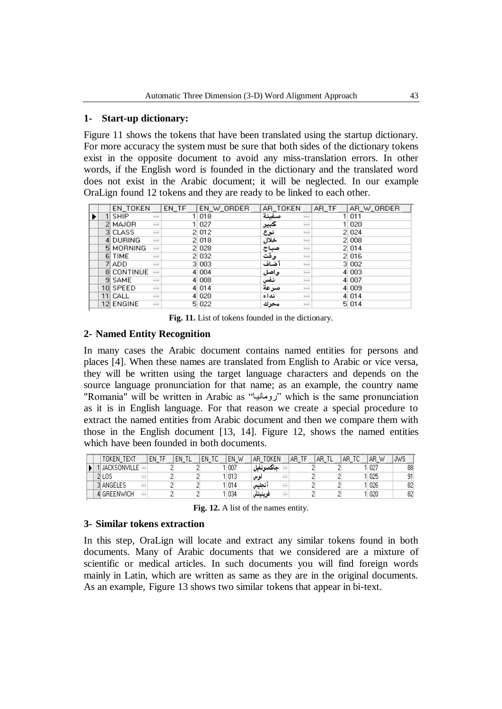### **1- Start-up dictionary:**

Figure 11 shows the tokens that have been translated using the startup dictionary. For more accuracy the system must be sure that both sides of the dictionary tokens exist in the opposite document to avoid any miss-translation errors. In other words, if the English word is founded in the dictionary and the translated word does not exist in the Arabic document; it will be neglected. In our example OraLign found 12 tokens and they are ready to be linked to each other.

|  | EN_TOKEN    |          | EN_TF | EN W ORDER | AR TOKEN |          | AR_TF | AR W ORDER |
|--|-------------|----------|-------|------------|----------|----------|-------|------------|
|  | <b>SHIP</b> | $\ldots$ |       | 018        | سفينة    | $\cdots$ |       | 1 011      |
|  | 2 MAJOR     | $\ldots$ |       | 027        | كبير     | $\cdots$ |       | 1 020      |
|  | 3 CLASS     | $\ldots$ |       | 2 012      | نوع      | $\cdots$ |       | 2 0 24     |
|  | 4 DURING    | $\ldots$ |       | 2 018      | خلال     | $\cdots$ |       | 2 0 0 8    |
|  | 5 MORNING   | $\ldots$ |       | 2 028      | صباح     | $\cdots$ |       | 2 014      |
|  | 6 TIME      | $\ldots$ |       | 2 0 3 2    | وقت      |          |       | 2 016      |
|  | 7 ADD.      | $\ldots$ |       | 3 003      | أخناف    |          |       | 3 002      |
|  | 8 CONTINUE  | $\dots$  |       | 4 0 0 4    | واصل     |          |       | 4 003      |
|  | 9 SAME      | $\ldots$ |       | 4 0 0 8    | انفس     | $\cdots$ |       | 4 007      |
|  | 10 SPEED    | $\ldots$ |       | 4 0 14     | سرعة     | $\cdots$ |       | 4 009      |
|  | 11 CALL     |          |       | 4 0 20     | نداء     |          |       | 4 0 14     |
|  | 12 ENGINE   | $\ldots$ |       | 5 022      | محرك     | $\cdots$ |       | 5 014      |

**Fig. 11.** List of tokens founded in the dictionary.

### **2- Named Entity Recognition**

In many cases the Arabic document contains named entities for persons and places [4]. When these names are translated from English to Arabic or vice versa, they will be written using the target language characters and depends on the source language pronunciation for that name; as an example, the country name "Romania" will be written in Arabic as "رومانيا" which is the same pronunciation as it is in English language. For that reason we create a special procedure to extract the named entities from Arabic document and then we compare them with those in the English document [13, 14]. Figure 12, shows the named entities which have been founded in both documents.

|  | TOKEN TEXT     |          | EN TF | ΕN | ΕN<br>ТC | EN.<br>W | TOKEN<br>AR. |          | AB.<br>-TF | AR. | AR. | AR.<br>W | <b>JWS</b> |
|--|----------------|----------|-------|----|----------|----------|--------------|----------|------------|-----|-----|----------|------------|
|  | JACKSONVILLE … |          |       |    |          | 007      | جاكسونفيل    |          |            |     |     | 027      | 88         |
|  | 2 LOS          | $\cdots$ |       |    |          | II 013   | نوس          | $\cdots$ |            |     |     | 025      | 91         |
|  | 3 ANGELES      |          |       |    |          | 014      | نجليس        | $\cdots$ |            |     |     | 026      | 82         |
|  | 4 GREENWICH    |          |       |    |          | 034      | ترينيتش      | $\cdots$ |            |     |     | 020      | 82         |

**Fig. 12.** A list of the names entity.

### **3- Similar tokens extraction**

In this step, OraLign will locate and extract any similar tokens found in both documents. Many of Arabic documents that we considered are a mixture of scientific or medical articles. In such documents you will find foreign words mainly in Latin, which are written as same as they are in the original documents. As an example, Figure 13 shows two similar tokens that appear in bi-text.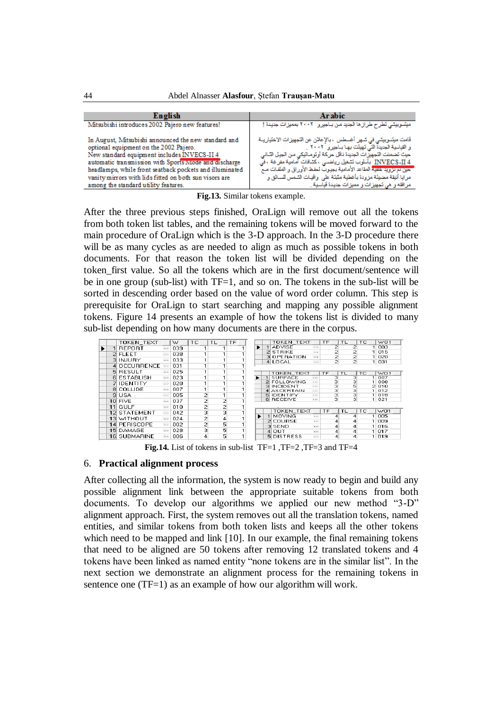| English                                                                                                          | <b>Arabic</b>                                                                                                                                                     |
|------------------------------------------------------------------------------------------------------------------|-------------------------------------------------------------------------------------------------------------------------------------------------------------------|
| Mitsubishi introduces 2002 Pajero new features!                                                                  | میسّوییسّی تطرح طرازها الجدید من بـاجیر و ۲۰۰۲ بممیزات جدیدهٔ !                                                                                                   |
| In August, Mitsubishi announced the new standard and<br>optional equipment on the 2002 Pajero.                   | فَامت مسِّريتِي في سَهر أغسطس ، بالإعلان عن النَّجهيزات الاختياريــة<br>و القِياسية الجديدة التّي تَهِيئَت بها بـاجير و ` ٢٠٠٢ .                                  |
| New standard equipment includes INVECS-II 4                                                                      | حلِبٌ تَصْمَلتَ النَّجهِيزَاتَ الْجَلَيْدَةَ نَاقَلْ حَرِيحَةَ أُوتُومِ النَّوِكَي مِن الْجِزْلِ النَّاتي                                                         |
| automatic transmission with Sports Mode and discharge<br>headlamps, while front seatback pockets and illuminated | INVECS-II 4 بِأَسْلُوبِ تَسْغَيْلُ رِياضَــي ، كَسَّاقَاتٍ أَمَامِدٍةَ مَفَرِ عَةَ ، فَيَ<br>حين تم تزويد خلاية المقاعد الأمامية بجيوب لحفظ الأوراق و الملفات مـع |
| vanity mirrors with lids fitted on both sun visors are                                                           | مرايا أنبِقة مضبِئَة مزودة بأغطية مثبتَة على واڤِيات السَّمس للسائق و                                                                                             |
| among the standard utility features.                                                                             | مرافقه و هي نَجهِيزات و مميزات جديدة قَبِلَسية .                                                                                                                  |

**Fig.13.** Similar tokens example.

After the three previous steps finished, OraLign will remove out all the tokens from both token list tables, and the remaining tokens will be moved forward to the main procedure of OraLign which is the 3-D approach. In the 3-D procedure there will be as many cycles as are needed to align as much as possible tokens in both documents. For that reason the token list will be divided depending on the token\_first value. So all the tokens which are in the first document/sentence will be in one group (sub-list) with TF=1, and so on. The tokens in the sub-list will be sorted in descending order based on the value of word order column. This step is prerequisite for OraLign to start searching and mapping any possible alignment tokens. Figure 14 presents an example of how the tokens list is divided to many sub-list depending on how many documents are there in the corpus.

|    | TOKEN TEXT          |          | w   | TC. | TL             |   | TF |  |    | TOKEN_TEXT                  |                        | <b>TF</b>      | <b>TL</b> |        | TC. | W <sub>01</sub> |
|----|---------------------|----------|-----|-----|----------------|---|----|--|----|-----------------------------|------------------------|----------------|-----------|--------|-----|-----------------|
|    | <b>REPORT</b>       | $\cdots$ | 039 |     |                |   |    |  |    | <b>ADVISE</b>               | $\ddotsc$              | 2              |           |        |     | 1 003           |
| 21 | <b>FLEET</b>        | $\cdots$ | 038 |     |                |   |    |  |    | <b>STRIKE</b>               | $\cdots$               |                |           |        |     | 015             |
| зГ | <b>INJURY</b>       | $\cdots$ | 033 |     |                |   |    |  | з  | <b>OPERATION</b><br>4 LOCAL | $\cdots$<br>$\cdots$   | $\overline{a}$ |           | 2<br>2 |     | 020<br>1 031    |
|    | <b>OCCURRENCE</b>   | $\cdots$ | 031 |     |                |   |    |  |    |                             |                        |                |           |        |     |                 |
| 51 | <b>RESULT</b>       | $\cdots$ | 025 |     |                |   |    |  |    | TOKEN TEXT                  |                        | TF             | TI.       |        | TC. | W <sub>01</sub> |
| 61 | <b>ESTABLISH</b>    | $\cdots$ | 023 |     |                |   |    |  |    | <b>SUBFACE</b>              | $\cdots$               | з              |           | з      |     | 1007            |
|    | <b>IDENTITY</b>     |          | 020 |     |                |   |    |  |    | 2 FOLLOWING                 | $\cdots$               | з              |           | з      |     | 008             |
| 81 | COLLIDE             | $\cdots$ | 007 |     |                |   |    |  |    | 3 INCIDENT<br>4 ASCERTAIN   | $\ddotsc$<br>$\ddotsc$ | з              |           | 5<br>з |     | 2010<br>012     |
| я  | <b>USA</b>          |          | 005 |     | 2              |   |    |  |    | <b>5 IDENTIFY</b>           | $\ddotsc$              | з              |           | 3      |     | 019             |
|    | 10 FIVE             | $\cdots$ | 037 |     | 2              | 2 |    |  |    | <b>6 RECEIVE</b>            | $\cdots$               | з              |           | з      |     | 1 021           |
| 11 | GULF                | $\cdots$ | 010 |     | 2              | o |    |  |    |                             |                        |                |           |        |     |                 |
|    | <b>12 STATEMENT</b> | $\cdots$ | 042 |     | 3              | з |    |  |    | <b>TOKEN TEXT</b>           |                        | TF             | <b>TL</b> |        | TC. | WO1             |
|    | 13 WITHOUT          | $\cdots$ | 024 |     | $\overline{c}$ | 4 |    |  |    | <b>MOVING</b>               | $\cdots$               | 4              |           | 4      |     | 005             |
|    | 14 PERISCOPE        | $\cdots$ | 002 |     | 2              | 5 |    |  | 21 | <b>COURSE</b>               | $\cdots$               |                |           |        |     | 009             |
| 15 | DAMAGE              |          | 028 |     | 3              | 5 |    |  | зг | SEND                        | $\cdots$               |                |           | 4      |     | 016             |
|    |                     |          |     |     |                |   |    |  | 4  | OUT                         | $\cdots$               |                |           | 4      |     | 017             |
|    | <b>16 SUBMARINE</b> | $\cdots$ | 006 |     | 4              | 5 |    |  | 51 | <b>DISTRESS</b>             | $\cdots$               |                |           | 4      |     | 019             |

**Fig.14.** List of tokens in sub-list TF=1, TF=2, TF=3 and TF=4

### 6. **Practical alignment process**

After collecting all the information, the system is now ready to begin and build any possible alignment link between the appropriate suitable tokens from both documents. To develop our algorithms we applied our new method "3-D" alignment approach. First, the system removes out all the translation tokens, named entities, and similar tokens from both token lists and keeps all the other tokens which need to be mapped and link [10]. In our example, the final remaining tokens that need to be aligned are 50 tokens after removing 12 translated tokens and 4 tokens have been linked as named entity "none tokens are in the similar list". In the next section we demonstrate an alignment process for the remaining tokens in sentence one (TF=1) as an example of how our algorithm will work.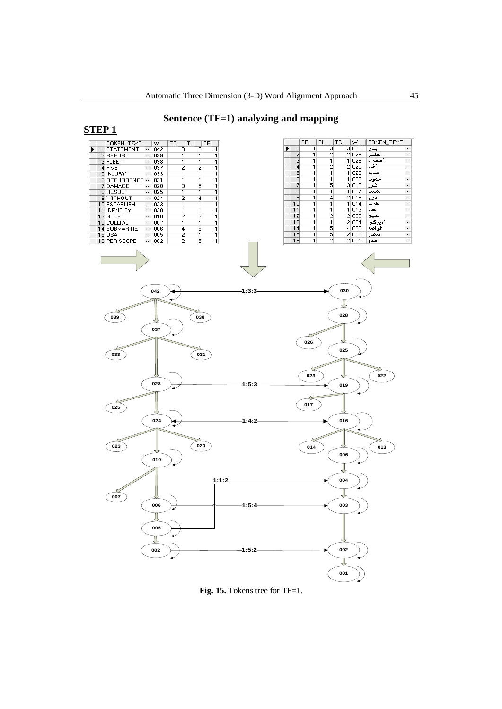# **Sentence (TF=1) analyzing and mapping**



**Fig. 15.** Tokens tree for TF=1.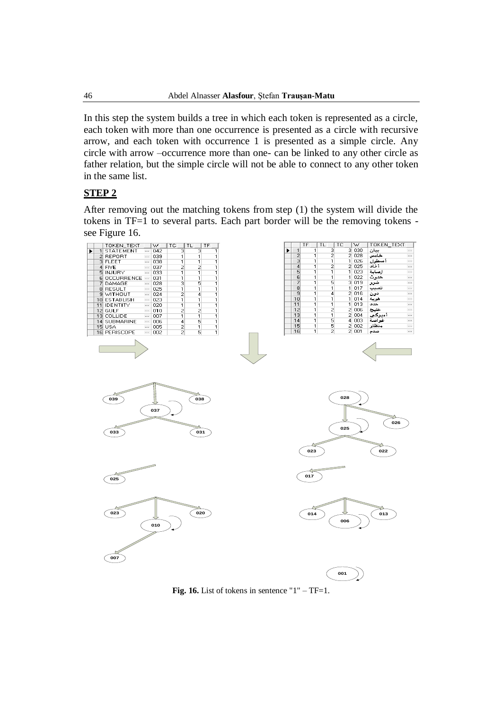In this step the system builds a tree in which each token is represented as a circle, each token with more than one occurrence is presented as a circle with recursive arrow, and each token with occurrence 1 is presented as a simple circle. Any circle with arrow –occurrence more than one- can be linked to any other circle as father relation, but the simple circle will not be able to connect to any other token in the same list.

## **STEP 2**

After removing out the matching tokens from step (1) the system will divide the tokens in TF=1 to several parts. Each part border will be the removing tokens see Figure 16.



**Fig. 16.** List of tokens in sentence  $"1" - TF = 1$ .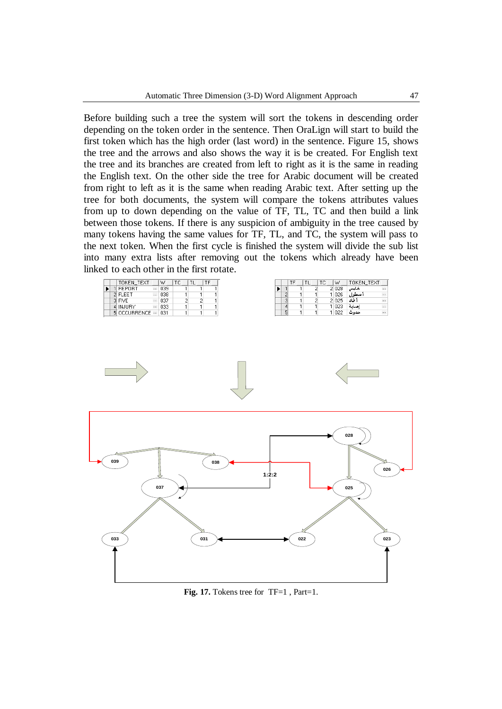Before building such a tree the system will sort the tokens in descending order depending on the token order in the sentence. Then OraLign will start to build the first token which has the high order (last word) in the sentence. Figure 15, shows the tree and the arrows and also shows the way it is be created. For English text the tree and its branches are created from left to right as it is the same in reading the English text. On the other side the tree for Arabic document will be created from right to left as it is the same when reading Arabic text. After setting up the tree for both documents, the system will compare the tokens attributes values from up to down depending on the value of TF, TL, TC and then build a link between those tokens. If there is any suspicion of ambiguity in the tree caused by many tokens having the same values for TF, TL, and TC, the system will pass to the next token. When the first cycle is finished the system will divide the sub list into many extra lists after removing out the tokens which already have been linked to each other in the first rotate.

|  | TOKEN TEXT         | W       | TC. | TF |
|--|--------------------|---------|-----|----|
|  | 1 REPORT           | $-1039$ |     |    |
|  | 2 FLEET            | $-1038$ |     |    |
|  | 3 FIVE             | $-1037$ |     |    |
|  | 4 INJURY           | $-1033$ |     |    |
|  | 5 OCCURRENCE - 031 |         |     |    |

|   | TF | ТC | W | TOKEN TEXT                                     |       |
|---|----|----|---|------------------------------------------------|-------|
|   |    |    |   | خامس                                           |       |
|   |    |    |   |                                                |       |
| 3 |    |    |   | أفاد                                           |       |
|   |    |    |   | الصابة                                         |       |
| 5 |    |    |   | حدوث                                           |       |
|   |    |    |   | 2 0 2 8<br>1 0 26<br>2 0 2 5<br>1 023<br>1 022 | أسطول |



**Fig. 17.** Tokens tree for TF=1 , Part=1.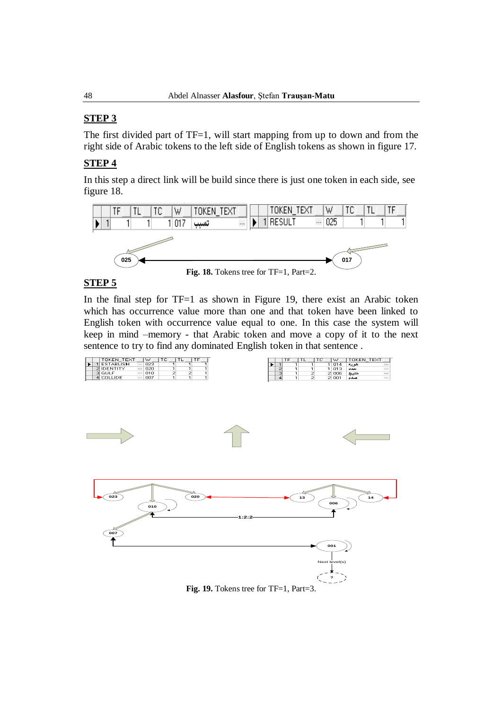# **STEP 3**

The first divided part of TF=1, will start mapping from up to down and from the right side of Arabic tokens to the left side of English tokens as shown in figure 17.

# **STEP 4**

In this step a direct link will be build since there is just one token in each side, see figure 18.



# **STEP 5**

In the final step for  $TF=1$  as shown in Figure 19, there exist an Arabic token which has occurrence value more than one and that token have been linked to English token with occurrence value equal to one. In this case the system will keep in mind –memory - that Arabic token and move a copy of it to the next sentence to try to find any dominated English token in that sentence .

|  | TOKEN TEXT      |          | W   | ◡ | -- |  |
|--|-----------------|----------|-----|---|----|--|
|  | <b>STABLISH</b> | $\cdots$ | 023 |   |    |  |
|  | <b>IDENTITY</b> | $\cdots$ | 020 |   |    |  |
|  | GULF            | $\cdots$ | 010 |   |    |  |
|  | I COLLIDE       | $\cdots$ | 007 |   |    |  |







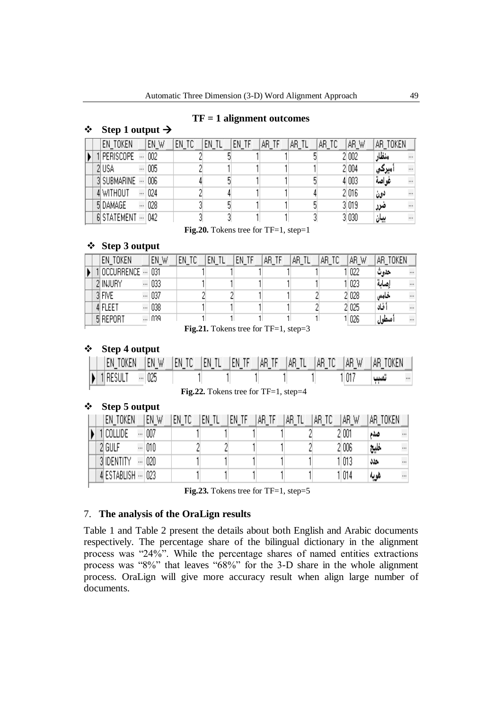### **TF = 1 alignment outcomes**

### $\div$  Step 1 output  $\rightarrow$

|  | EN TOKEN    | EN_W | EN_TC | en tl | en tf | AR_TF | AR TL | AR TC | AR W   | AR TOKEN |           |
|--|-------------|------|-------|-------|-------|-------|-------|-------|--------|----------|-----------|
|  | PERISCOPE   | 002  |       |       |       |       |       |       | 2 002  | منظار    | $\cdots$  |
|  | 2 USA       | 005  |       |       |       |       |       |       | 2 004  | اميركي   | $\cdots$  |
|  | 3 SUBMARINE | 006  |       |       |       |       |       |       | 4 003  | غو اصة   | $\ddotsc$ |
|  | 4 WITHOUT   | 024  |       |       |       |       |       |       | 2 016  | دون      | $\cdots$  |
|  | 5 DAMAGE    | 028  |       |       |       |       |       |       | 3 019  | ضرر      | $\cdots$  |
|  | 6 STATEMENT | 042  |       |       |       |       |       |       | 31 030 | بيان     |           |

Fig.20. Tokens tree for TF=1, step=1

## **Step 3 output**

|  | EN TOKEN   | EN W    | EN<br>ТC | EN | EN<br>TF | AR.<br>TF | AR. | AR. | AR W  | TOKEN<br>AR |           |
|--|------------|---------|----------|----|----------|-----------|-----|-----|-------|-------------|-----------|
|  | OCCURRENCE | 031     |          |    |          |           |     |     | 022   | حدوث        | $\cdots$  |
|  | 2 INJURY   | 033     |          |    |          |           |     |     | 023   | رصاية       | $\cdots$  |
|  | 3 FIVE     | <br>037 |          |    |          |           |     |     | 2 028 | خامس        | $\cdots$  |
|  | 4 FLEET    | <br>038 |          |    |          |           |     |     | 2 025 | أفاد        | $\ddotsc$ |
|  | 5 REPORT   | l N39   |          |    |          |           |     |     | 1 026 | أسطول       | $\cdots$  |

Fig.21. Tokens tree for TF=1, step=3

## **Step 4 output**

|  | EN TOKEN                         |         |  |  | [EN W] EN TO [EN TL] EN TF [AR TF [AR TL] [AR TO] | ∣AR W | IAR TOKEN |  |
|--|----------------------------------|---------|--|--|---------------------------------------------------|-------|-----------|--|
|  | $\blacktriangleright$   1 result | <br>025 |  |  |                                                   | 11011 | نسب       |  |

Fig. 22. Tokens tree for TF=1, step=4

### **Step 5 output**

|  |            | EN TOKEN    |                      | en w | EN<br>ТC | en tl | en tf | AR. | АR | AR. | AR.<br>W | TOKEN<br>AΒ |           |
|--|------------|-------------|----------------------|------|----------|-------|-------|-----|----|-----|----------|-------------|-----------|
|  | COLLIDE    |             | $\cdots$             | 007  |          |       |       |     |    |     | 2 001    | صدم         | $\cdots$  |
|  | 2 GULF     |             | $\cdots$             | 010  |          |       |       |     |    |     | 2 006    | خليج        | $\cdots$  |
|  | 3 IDENTITY |             | $\ddot{\phantom{0}}$ | 020  |          |       |       |     |    |     | 1 013    | حذذ         | $\cdots$  |
|  |            | 4 ESTABLISH |                      | 023  |          |       |       |     |    |     | 1014     | هويه        | $\ddotsc$ |
|  |            |             |                      |      | --       |       |       |     |    |     |          |             |           |

Fig.23. Tokens tree for TF=1, step=5

## 7. **The analysis of the OraLign results**

Table 1 and Table 2 present the details about both English and Arabic documents respectively. The percentage share of the bilingual dictionary in the alignment process was "24%". While the percentage shares of named entities extractions process was "8%" that leaves "68%" for the 3-D share in the whole alignment process. OraLign will give more accuracy result when align large number of documents.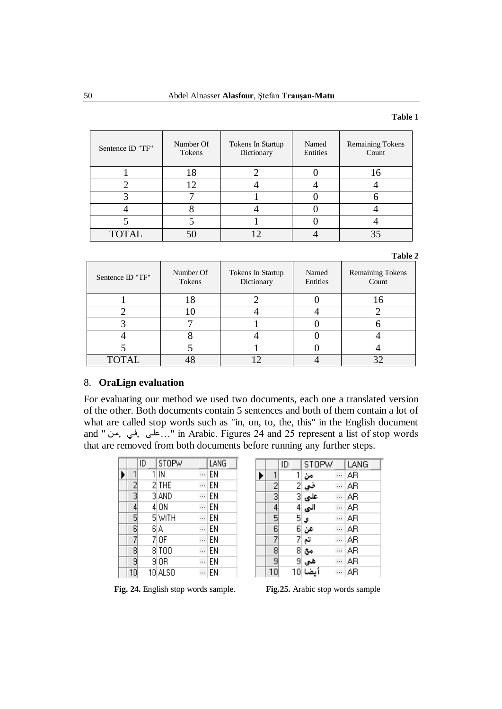### **Table 1**

| Sentence ID "TF" | Number Of<br>Tokens | Tokens In Startup<br>Dictionary | Named<br>Entities | <b>Remaining Tokens</b><br>Count |
|------------------|---------------------|---------------------------------|-------------------|----------------------------------|
|                  |                     |                                 |                   |                                  |
|                  |                     |                                 |                   |                                  |
|                  |                     |                                 |                   |                                  |
|                  |                     |                                 |                   |                                  |
|                  |                     |                                 |                   |                                  |
| <b>TOTAL</b>     |                     |                                 |                   |                                  |

### **Table 2**

| Sentence ID "TF" | Number Of<br>Tokens | Tokens In Startup<br>Dictionary | Named<br>Entities | Remaining Tokens<br>Count |
|------------------|---------------------|---------------------------------|-------------------|---------------------------|
|                  |                     |                                 |                   |                           |
|                  |                     |                                 |                   |                           |
|                  |                     |                                 |                   |                           |
|                  |                     |                                 |                   |                           |
|                  |                     |                                 |                   |                           |
| <b>TOTAL</b>     |                     |                                 |                   |                           |

## 8. **OraLign evaluation**

For evaluating our method we used two documents, each one a translated version of the other. Both documents contain 5 sentences and both of them contain a lot of what are called stop words such as "in, on, to, the, this" in the English document and " مالی, في, من ". in Arabic. Figures 24 and 25 represent a list of stop words that are removed from both documents before running any further steps.

|                 | ID | <b>STOPW</b> | LANG   |
|-----------------|----|--------------|--------|
|                 |    | IN           | <br>EN |
| $rac{2}{3}$     |    | 2 THE        | <br>EN |
|                 |    | 3 AND        | <br>EN |
| $\overline{4}$  |    | 4 ON         | <br>EN |
| 5               |    | 5 WITH       | <br>EN |
| $\overline{6}$  |    | 6 A          | <br>EN |
| 7               |    | 7 OF         | <br>EN |
| $\overline{8}$  |    | 8 TOO        | <br>EN |
| 9               |    | 9 OR         | <br>EN |
| 10 <sup>1</sup> |    | 10 ALSO      | <br>EN |

|                                                                       | ID | <b>STOPW</b>                           | LANG |
|-----------------------------------------------------------------------|----|----------------------------------------|------|
| 1                                                                     | 11 | ەن                                     | AR   |
|                                                                       |    | في 2<br>على 3<br>الى 4                 | AΒ   |
| $\frac{2}{3}$ $\frac{3}{4}$ $\frac{4}{5}$ $\frac{5}{7}$ $\frac{6}{8}$ |    |                                        | AΒ   |
|                                                                       |    |                                        | AR   |
|                                                                       |    | و  5                                   | AΒ   |
|                                                                       |    | عن <mark>6</mark><br>تم <mark>7</mark> | ΑR   |
|                                                                       |    |                                        | AR   |
|                                                                       |    | مع  8                                  | AR   |
| $\bar{9}$                                                             |    | هي  9                                  | AΒ   |
| 10                                                                    | 10 | بضا                                    | AΒ   |

**Fig. 24.** English stop words sample. **Fig.25.** Arabic stop words sample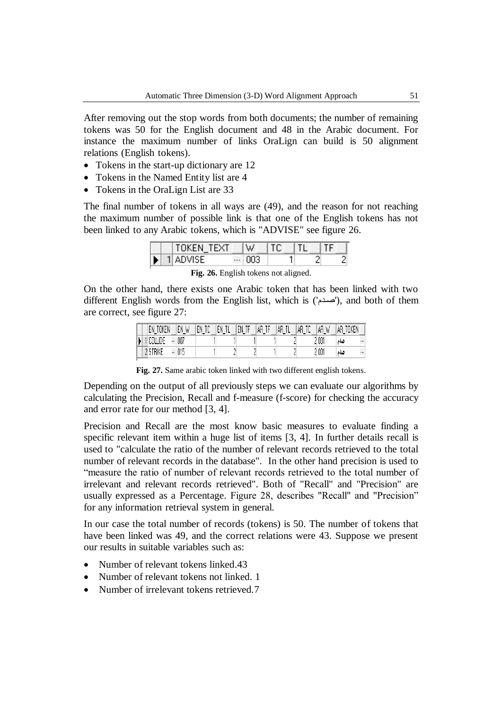After removing out the stop words from both documents; the number of remaining tokens was 50 for the English document and 48 in the Arabic document. For instance the maximum number of links OraLign can build is 50 alignment relations (English tokens).

- Tokens in the start-up dictionary are 12
- Tokens in the Named Entity list are 4
- Tokens in the OraLign List are 33

The final number of tokens in all ways are (49), and the reason for not reaching the maximum number of possible link is that one of the English tokens has not been linked to any Arabic tokens, which is "ADVISE" see figure 26.

|  | TOKEN_TEXT |          | W.  |  |  |
|--|------------|----------|-----|--|--|
|  | 1 ADVISE   | $\cdots$ | 003 |  |  |

**Fig. 26.** English tokens not aligned.

On the other hand, there exists one Arabic token that has been linked with two different English words from the English list, which is  $(2\pi\omega)$ , and both of them are correct, see figure 27:

|   | TOKEN<br>EN |          | EN W<br><u>.</u> | TC<br>EN | en ti<br>− | FN<br>$\blacksquare$ | ΑR | AR, | AR<br>TC | ΑR<br>W | TOKEN<br>AR, |
|---|-------------|----------|------------------|----------|------------|----------------------|----|-----|----------|---------|--------------|
| N | COLLIDE     | 111      | 007              |          |            |                      |    |     |          | 001     | صدم<br>111   |
|   | `TRIKE      | $\cdots$ | 015              |          |            |                      |    |     |          | 2 001   | صدم<br>111   |

**Fig. 27.** Same arabic token linked with two different english tokens.

Depending on the output of all previously steps we can evaluate our algorithms by calculating the Precision, Recall and f-measure (f-score) for checking the accuracy and error rate for our method [3, 4].

Precision and Recall are the most know basic measures to evaluate finding a specific relevant item within a huge list of items [3, 4]. In further details recall is used to "calculate the ratio of the number of relevant records retrieved to the total number of relevant records in the database". In the other hand precision is used to "measure the ratio of number of relevant records retrieved to the total number of irrelevant and relevant records retrieved". Both of "Recall" and "Precision" are usually expressed as a Percentage. Figure 28, describes "Recall" and "Precision" for any information retrieval system in general.

In our case the total number of records (tokens) is 50. The number of tokens that have been linked was 49, and the correct relations were 43. Suppose we present our results in suitable variables such as:

- Number of relevant tokens linked.43
- Number of relevant tokens not linked. 1
- Number of irrelevant tokens retrieved.7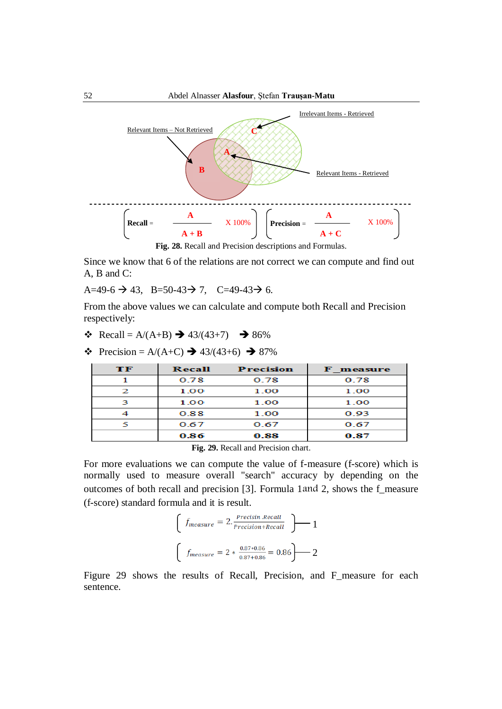

Since we know that 6 of the relations are not correct we can compute and find out A, B and C:

A=49-6  $\rightarrow$  43, B=50-43 $\rightarrow$  7, C=49-43 $\rightarrow$  6.

From the above values we can calculate and compute both Recall and Precision respectively:

- $\div$  Recall = A/(A+B)  $\rightarrow$  43/(43+7)  $\rightarrow$  86%
- $\div$  Precision = A/(A+C)  $\rightarrow$  43/(43+6)  $\rightarrow$  87%

| TF | Recall | <b>Precision</b> | <b>F</b> measure |
|----|--------|------------------|------------------|
|    | 0.78   | 0.78             | 0.78             |
| 2  | 1.00   | 1.00             | 1.00             |
|    | 1.00   | 1.00             | 1.00             |
|    | 0.88   | 1.00             | 0.93             |
|    | 0.67   | 0.67             | 0.67             |
|    | 0.86   | 0.88             | 0.87             |

**Fig. 29.** Recall and Precision chart.

For more evaluations we can compute the value of f-measure (f-score) which is normally used to measure overall "search" accuracy by depending on the outcomes of both recall and precision [3]. Formula 1and 2, shows the f\_measure (f-score) standard formula and it is result.

$$
\left( f_{measure} = 2. \frac{Precision \cdot Recall}{Precision + Recall} \right) \longrightarrow 1
$$
  

$$
\left( f_{measure} = 2 * \frac{0.87 * 0.86}{0.87 + 0.86} = 0.86 \right) \longrightarrow 2
$$

Figure 29 shows the results of Recall, Precision, and F\_measure for each sentence.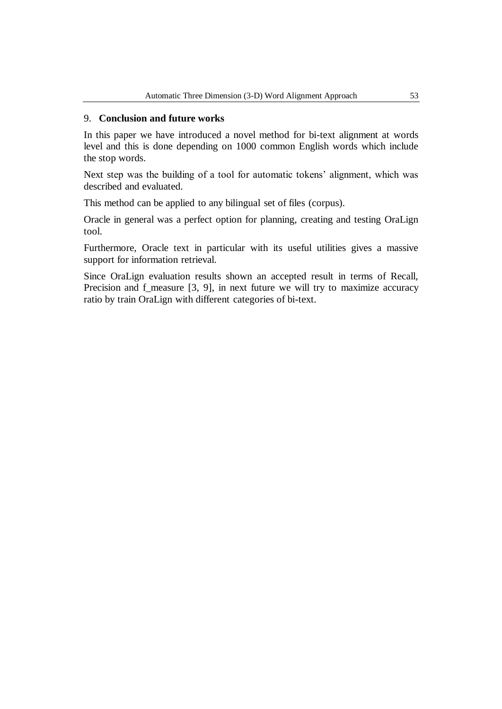## 9. **Conclusion and future works**

In this paper we have introduced a novel method for bi-text alignment at words level and this is done depending on 1000 common English words which include the stop words.

Next step was the building of a tool for automatic tokens' alignment, which was described and evaluated.

This method can be applied to any bilingual set of files (corpus).

Oracle in general was a perfect option for planning, creating and testing OraLign tool.

Furthermore, Oracle text in particular with its useful utilities gives a massive support for information retrieval.

Since OraLign evaluation results shown an accepted result in terms of Recall, Precision and f\_measure [3, 9], in next future we will try to maximize accuracy ratio by train OraLign with different categories of bi-text.